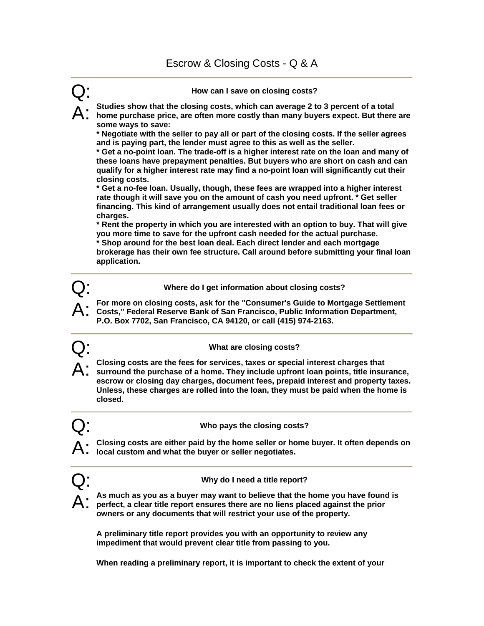

**A preliminary title report provides you with an opportunity to review any impediment that would prevent clear title from passing to you.** 

**When reading a preliminary report, it is important to check the extent of your**